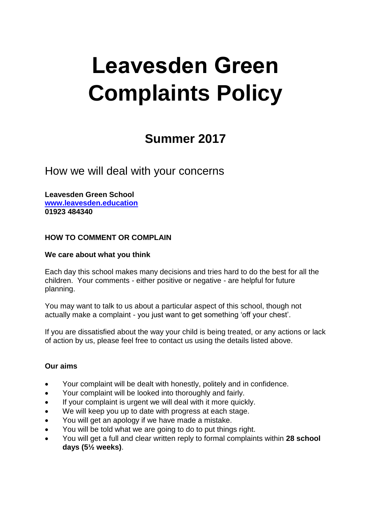# **Leavesden Green Complaints Policy**

## **Summer 2017**

How we will deal with your concerns

**Leavesden Green School [www.leavesden.education](http://www.leavesden.education/) 01923 484340**

### **HOW TO COMMENT OR COMPLAIN**

#### **We care about what you think**

Each day this school makes many decisions and tries hard to do the best for all the children. Your comments - either positive or negative - are helpful for future planning.

You may want to talk to us about a particular aspect of this school, though not actually make a complaint - you just want to get something 'off your chest'.

If you are dissatisfied about the way your child is being treated, or any actions or lack of action by us, please feel free to contact us using the details listed above.

#### **Our aims**

- Your complaint will be dealt with honestly, politely and in confidence.
- Your complaint will be looked into thoroughly and fairly.
- If your complaint is urgent we will deal with it more quickly.
- We will keep you up to date with progress at each stage.
- You will get an apology if we have made a mistake.
- You will be told what we are going to do to put things right.
- You will get a full and clear written reply to formal complaints within **28 school days (5½ weeks)**.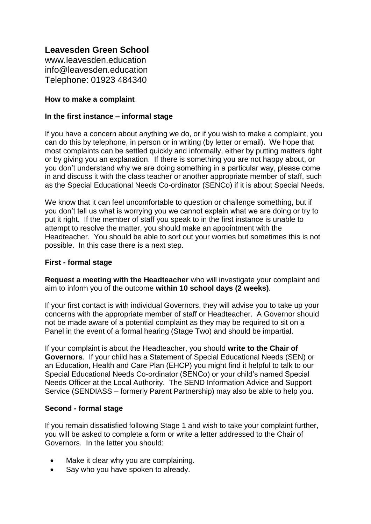## **Leavesden Green School**

www.leavesden.education info@leavesden.education Telephone: 01923 484340

#### **How to make a complaint**

#### **In the first instance – informal stage**

If you have a concern about anything we do, or if you wish to make a complaint, you can do this by telephone, in person or in writing (by letter or email). We hope that most complaints can be settled quickly and informally, either by putting matters right or by giving you an explanation. If there is something you are not happy about, or you don't understand why we are doing something in a particular way, please come in and discuss it with the class teacher or another appropriate member of staff, such as the Special Educational Needs Co-ordinator (SENCo) if it is about Special Needs.

We know that it can feel uncomfortable to question or challenge something, but if you don't tell us what is worrying you we cannot explain what we are doing or try to put it right. If the member of staff you speak to in the first instance is unable to attempt to resolve the matter, you should make an appointment with the Headteacher. You should be able to sort out your worries but sometimes this is not possible. In this case there is a next step.

#### **First - formal stage**

**Request a meeting with the Headteacher** who will investigate your complaint and aim to inform you of the outcome **within 10 school days (2 weeks)**.

If your first contact is with individual Governors, they will advise you to take up your concerns with the appropriate member of staff or Headteacher. A Governor should not be made aware of a potential complaint as they may be required to sit on a Panel in the event of a formal hearing (Stage Two) and should be impartial.

If your complaint is about the Headteacher, you should **write to the Chair of Governors**. If your child has a Statement of Special Educational Needs (SEN) or an Education, Health and Care Plan (EHCP) you might find it helpful to talk to our Special Educational Needs Co-ordinator (SENCo) or your child's named Special Needs Officer at the Local Authority. The SEND Information Advice and Support Service (SENDIASS – formerly Parent Partnership) may also be able to help you.

#### **Second - formal stage**

If you remain dissatisfied following Stage 1 and wish to take your complaint further, you will be asked to complete a form or write a letter addressed to the Chair of Governors. In the letter you should:

- Make it clear why you are complaining.
- Say who you have spoken to already.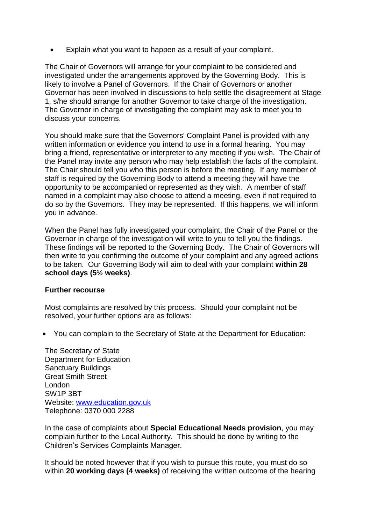Explain what you want to happen as a result of your complaint.

The Chair of Governors will arrange for your complaint to be considered and investigated under the arrangements approved by the Governing Body. This is likely to involve a Panel of Governors. If the Chair of Governors or another Governor has been involved in discussions to help settle the disagreement at Stage 1, s/he should arrange for another Governor to take charge of the investigation. The Governor in charge of investigating the complaint may ask to meet you to discuss your concerns.

You should make sure that the Governors' Complaint Panel is provided with any written information or evidence you intend to use in a formal hearing. You may bring a friend, representative or interpreter to any meeting if you wish. The Chair of the Panel may invite any person who may help establish the facts of the complaint. The Chair should tell you who this person is before the meeting. If any member of staff is required by the Governing Body to attend a meeting they will have the opportunity to be accompanied or represented as they wish. A member of staff named in a complaint may also choose to attend a meeting, even if not required to do so by the Governors. They may be represented. If this happens, we will inform you in advance.

When the Panel has fully investigated your complaint, the Chair of the Panel or the Governor in charge of the investigation will write to you to tell you the findings. These findings will be reported to the Governing Body. The Chair of Governors will then write to you confirming the outcome of your complaint and any agreed actions to be taken. Our Governing Body will aim to deal with your complaint **within 28 school days (5½ weeks)**.

#### **Further recourse**

Most complaints are resolved by this process. Should your complaint not be resolved, your further options are as follows:

You can complain to the Secretary of State at the Department for Education:

The Secretary of State Department for Education Sanctuary Buildings Great Smith Street London SW1P 3BT Website: [www.education.gov.uk](http://www.education.gov.uk/) Telephone: 0370 000 2288

In the case of complaints about **Special Educational Needs provision**, you may complain further to the Local Authority. This should be done by writing to the Children's Services Complaints Manager.

It should be noted however that if you wish to pursue this route, you must do so within **20 working days (4 weeks)** of receiving the written outcome of the hearing